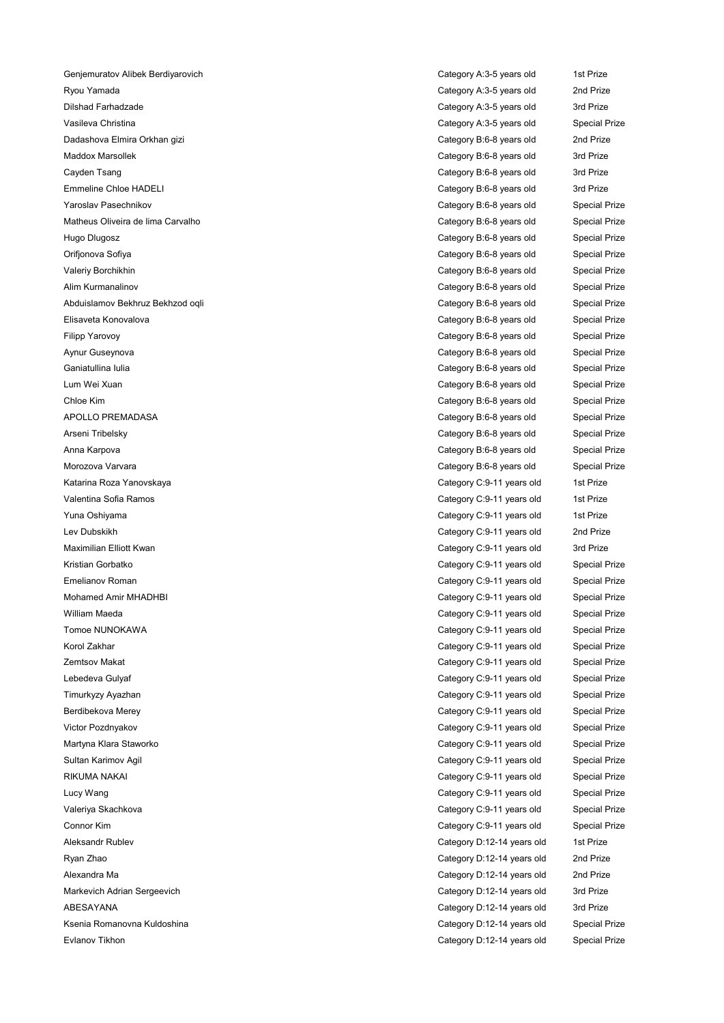Genjemuratov Alibek Berdiyarovich Category A:3-5 years old 1st Prize Ryou Yamada Category A:3-5 years old 2nd Prize Dilshad Farhadzade Category A:3-5 years old 3rd Prize Vasileva Christina Christina Christina Category A:3-5 years old Special Prize Dadashova Elmira Orkhan gizi Category B:6-8 years old 2nd Prize Maddox Marsollek Category B:6-8 years old 3rd Prize Cayden Tsang Category B:6-8 years old 3rd Prize Emmeline Chloe HADELI Category B:6-8 years old 3rd Prize Yaroslav Pasechnikov Category B:6-8 years old Special Prize Matheus Oliveira de lima Carvalho Category B:6-8 years old Special Prize Hugo Dlugosz Category B:6-8 years old Special Prize Orifjonova Sofiya Category B:6-8 years old Special Prize Valeriy Borchikhin Category B:6-8 years old Special Prize Alim Kurmanalinov Category B:6-8 years old Special Prize Abduislamov Bekhruz Bekhzod oqli Category B:6-8 years old Special Prize Elisaveta Konovalova Category B:6-8 years old Special Prize Filipp Yarovoy Category B:6-8 years old Special Prize Aynur Guseynova Category B:6-8 years old Special Prize Ganiatullina Iulia Category B:6-8 years old Special Prize Lum Wei Xuan Category B:6-8 years old Special Prize Chloe Kim Chloe Kim Chloe Kim Category B:6-8 years old Special Prize APOLLO PREMADASA **Category B:6-8 years old** Special Prize Arseni Tribelsky Category B:6-8 years old Special Prize Anna Karpova Category B:6-8 years old Special Prize Morozova Varvara Category B:6-8 years old Special Prize Katarina Roza Yanovskaya **Category C:9-11 years old** 1st Prize Valentina Sofia Ramos Category C:9-11 years old 1st Prize Yuna Oshiyama Category C:9-11 years old 1st Prize Lev Dubskikh Category C:9-11 years old 2nd Prize Maximilian Elliott Kwan Category C:9-11 years old 3rd Prize Kristian Gorbatko **Category C:9-11 years old** Special Prize Emelianov Roman Category C:9-11 years old Special Prize Mohamed Amir MHADHBI Category C:9-11 years old Special Prize William Maeda **Category C:9-11 years old** Special Prize Tomoe NUNOKAWA Category C:9-11 years old Special Prize Korol Zakhar Category C:9-11 years old Special Prize Zemtsov Makat Category C:9-11 years old Special Prize Lebedeva Gulyaf Category C:9-11 years old Special Prize Timurkyzy Ayazhan Category C:9-11 years old Special Prize Berdibekova Merey Category C:9-11 years old Special Prize Victor Pozdnyakov Category C:9-11 years old Special Prize Martyna Klara Staworko **Category C:9-11 years old** Special Prize Sultan Karimov Agil Category C:9-11 years old Special Prize RIKUMA NAKAI Category C:9-11 years old Special Prize Lucy Wang Category C:9-11 years old Special Prize Valeriya Skachkova Category C:9-11 years old Special Prize Connor Kim Category C:9-11 years old Special Prize Aleksandr Rublev Category D:12-14 years old 1st Prize Ryan Zhao Category D:12-14 years old 2nd Prize Alexandra Ma Category D:12-14 years old 2nd Prize Markevich Adrian Sergeevich Category D:12-14 years old 3rd Prize ABESAYANA CATEGORY D:12-14 years old 3rd Prize Ksenia Romanovna Kuldoshina Category D:12-14 years old Special Prize Evlanov Tikhon Category D:12-14 years old Special Prize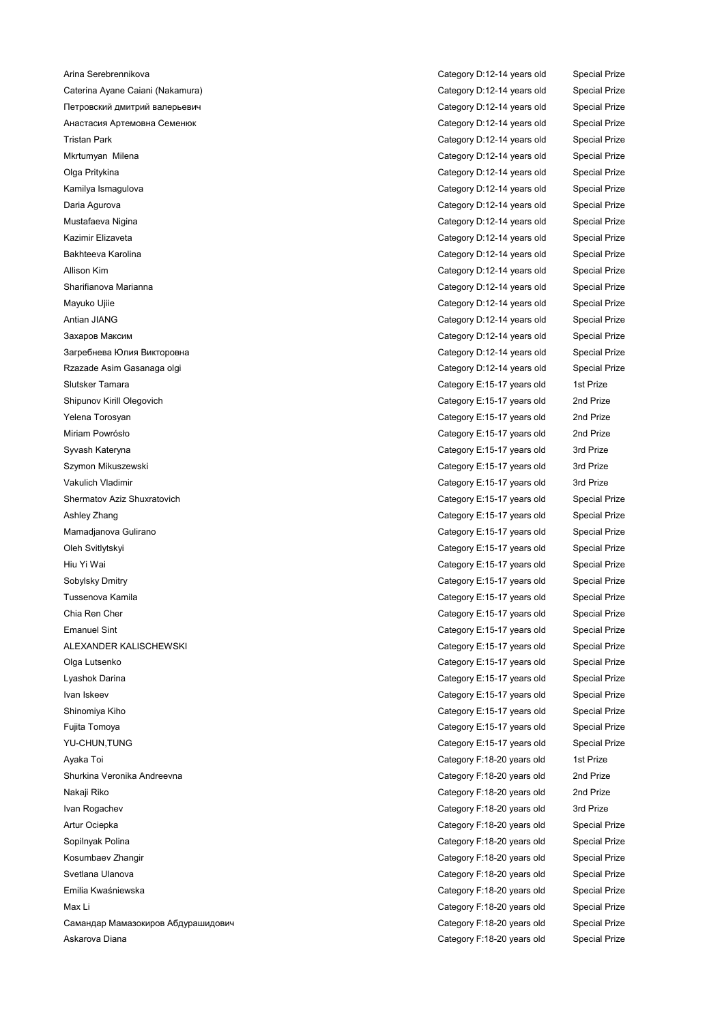Caterina Ayane Caiani (Nakamura) Category D:12-14 years old Special Prize Петровский дмитрий валерьевич Category D:12-14 years old Special Prize Анастасия Артемовна Семенюк Category D:12-14 years old Special Prize Tristan Park Category D:12-14 years old Special Prize Mkrtumyan Milena Category D:12-14 years old Special Prize Olga Pritykina Category D:12-14 years old Special Prize Kamilya Ismagulova Category D:12-14 years old Special Prize Daria Agurova Category D:12-14 years old Special Prize Mustafaeva Nigina Category D:12-14 years old Special Prize Kazimir Elizaveta Category D:12-14 years old Special Prize Bakhteeva Karolina Category D:12-14 years old Special Prize Allison Kim Category D:12-14 years old Special Prize Sharifianova Marianna Category D:12-14 years old Special Prize Mayuko Ujiie Category D:12-14 years old Special Prize Antian JIANG Category D:12-14 years old Special Prize Захаров Максим Category D:12-14 years old Special Prize Загребнева Юлия Викторовна Category D:12-14 years old Special Prize Rzazade Asim Gasanaga olgi Category D:12-14 years old Special Prize Slutsker Tamara Category E:15-17 years old 1st Prize Shipunov Kirill Olegovich Category E:15-17 years old 2nd Prize Yelena Torosyan Category E:15-17 years old 2nd Prize Miriam Powrósło Category E:15-17 years old 2nd Prize Syvash Kateryna Category E:15-17 years old 3rd Prize Szymon Mikuszewski Category E:15-17 years old 3rd Prize Vakulich Vladimir Category E:15-17 years old 3rd Prize Shermatov Aziz Shuxratovich Category E:15-17 years old Special Prize Ashley Zhang Category E:15-17 years old Special Prize Mamadjanova Gulirano Category E:15-17 years old Special Prize Oleh Svitlytskyi Category E:15-17 years old Special Prize Hiu Yi Wai Category E:15-17 years old Special Prize Sobylsky Dmitry Category E:15-17 years old Special Prize Tussenova Kamila Category E:15-17 years old Special Prize Chia Ren Cher Category E:15-17 years old Special Prize Emanuel Sint Category E:15-17 years old Special Prize ALEXANDER KALISCHEWSKI Category E:15-17 years old Special Prize Olga Lutsenko Category E:15-17 years old Special Prize Lyashok Darina Category E:15-17 years old Special Prize Ivan Iskeev **Category E:15-17 years old** Special Prize Shinomiya Kiho Category E:15-17 years old Special Prize Fujita Tomoya Category E:15-17 years old Special Prize YU-CHUN,TUNG Category E:15-17 years old Special Prize Ayaka Toi Category F:18-20 years old 1st Prize Shurkina Veronika Andreevna Category F:18-20 years old 2nd Prize Nakaji Riko Category F:18-20 years old 2nd Prize Ivan Rogachev Category F:18-20 years old 3rd Prize Artur Ociepka Category F:18-20 years old Special Prize Sopilnyak Polina Category F:18-20 years old Special Prize Kosumbaev Zhangir **Category F:18-20 years old** Special Prize Svetlana Ulanova Category F:18-20 years old Special Prize Emilia Kwaśniewska Category F:18-20 years old Special Prize Max Li Category F:18-20 years old Special Prize Самандар Мамазокиров Абдурашидович Category F:18-20 years old Special Prize Askarova Diana Category F:18-20 years old Special Prize

Arina Serebrennikova Category D:12-14 years old Special Prize